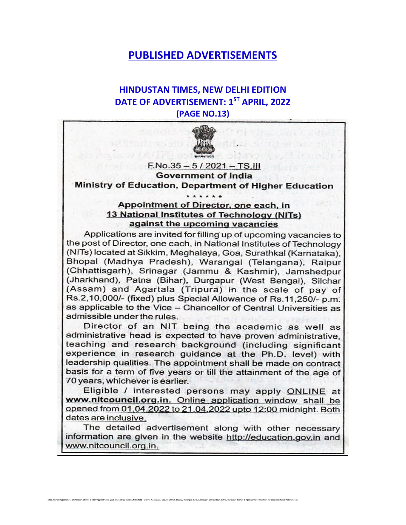## **PUBLISHED ADVERTISEMENTS**

### **HINDUSTAN TIMES, NEW DELHI EDITION DATE OF ADVERTISEMENT: 1ST APRIL, 2022 (PAGE NO.13)**



 $F.No.35 - 5 / 2021 - TS.III$ **Government of India** Ministry of Education, Department of Higher Education

#### Appointment of Director, one each, in 13 National Institutes of Technology (NITs) against the upcoming vacancies

\*\*\*\*\*\*

Applications are invited for filling up of upcoming vacancies to the post of Director, one each, in National Institutes of Technology (NITs) located at Sikkim, Meghalaya, Goa, Surathkal (Karnataka), Bhopal (Madhya Pradesh), Warangal (Telangana), Raipur (Chhattisgarh), Srinagar (Jammu & Kashmir), Jamshedpur (Jharkhand), Patna (Bihar), Durgapur (West Bengal), Silchar (Assam) and Agartala (Tripura) in the scale of pay of Rs.2,10,000/- (fixed) plus Special Allowance of Rs.11,250/- p.m. as applicable to the Vice - Chancellor of Central Universities as admissible under the rules.

Director of an NIT being the academic as well as administrative head is expected to have proven administrative, teaching and research background (including significant experience in research quidance at the Ph.D. level) with leadership qualities. The appointment shall be made on contract basis for a term of five years or till the attainment of the age of 70 years, whichever is earlier.

Eligible / interested persons may apply ONLINE at www.nitcouncil.org.in. Online application window shall be opened from 01.04.2022 to 21.04.2022 upto 12:00 midnight. Both dates are inclusive.

The detailed advertisement along with other necessary information are given in the website http://education.gov.in and www.nitcouncil.org.in.

[MoE\Ravi\D:\Appointment of Directors of NITs & IIEST\Appointments 2005 onwards\20 Existing NITs\2022 - Sikkim, Meghalaya, Goa, Surathkal, Bhopal, Warangal, Raipur, Srinagar, Jamshedpur, Patna, Durgapur, Silchar & Agartala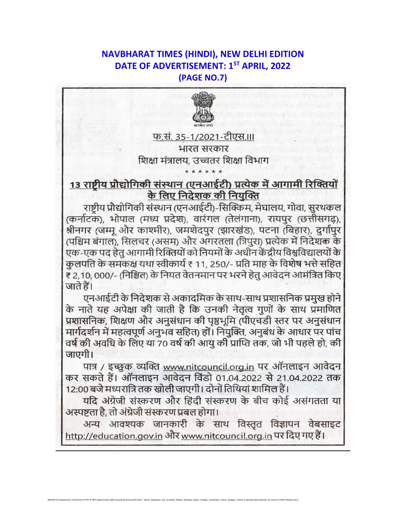### **NAVBHARAT TIMES (HINDI), NEW DELHI EDITION** DATE OF ADVERTISEMENT: 1ST APRIL, 2022 (PAGE NO.7)



फ.सं. 35-1/2021-टीएस.।।। भारत सरकार शिक्षा मंत्रालय. उच्चतर शिक्षा विभाग

## 13 राष्ट्रीय प्रौद्योगिकी संस्थान (एनआईटी) प्रत्येक में आगामी रिक्तियों के लिए निदेशक की नियुक्ति

राष्ट्रीय प्रौद्योगिकी संस्थान (एनआईटी)-सिक्किम, मेघालय, गोवा, सुरथकल (कर्नाटक), भोपाल (मध्य प्रदेश), वारंगल (तेलंगाना), रायपुर (छत्तीसगढ), श्रीनगर (जम्मू और काश्मीर), जमशेदपुर (झारखंड), पटना (बिहार), दुर्गापुर (पश्चिम बंगाल), सिलचर (असम) और अगरतला (त्रिपुरा) प्रत्येक में निदेशक के एक-एक पद हेतु आगामी रिक्तियों को नियमों के अधीन केंद्रीय विश्वविद्यालयों के कुलपति के समकक्ष यथा स्वीकार्य ₹ 11, 250/- प्रति माह के विशेष भत्ते सहित ₹ 2,10, 000/- (निश्चित) के नियत वेतनमान पर भरने हेतु आवेदन आमंत्रित किए जाते हैं।

एनआईटी के निदेशक से अकादमिक के साथ-साथ प्रशासनिक प्रमुख होने के नाते यह अपेक्षा की जाती है कि उनकी नेतृत्व गुणों के साथ प्रमाणित प्रशासनिक, शिक्षण और अनुसंधान की पृष्ठभूमि (पीएचडी स्तर पर अनुसंधान मार्गदर्शन में महत्वपूर्ण अनुभव सहित) हों। नियुक्ति, अनुबंध के आधार पर पांच वर्ष की अवधि के लिए या 70 वर्ष की आयु की प्राप्ति तक, जो भी पहले हो, की जाएगी।

पात्र / इच्छुक व्यक्ति www.nitcouncil.org.in पर ऑनलाइन आवेदन कर सकते हैं। ऑनलाइन आवेदन विंडो 01.04.2022 से 21.04.2022 तक 12:00 बजे मध्यरात्रि तक खोली जाएगी। दोनों तिथियां शामिल हैं।

यदि अंग्रेजी संस्करण और हिंदी संस्करण के बीच कोई असंगतता या अस्पष्टता है, तो अंग्रेजी संस्करण प्रबल होगा।

अन्य आवश्यक जानकारी के साथ विस्तृत विज्ञापन वेबसाइट http://education.gov.in और www.nitcouncil.org.in पर दिए गए हैं।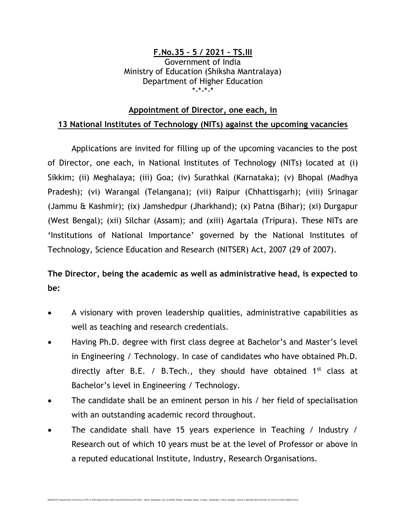#### **F.No.35 – 5 / 2021 – TS.III** Government of India Ministry of Education (Shiksha Mantralaya) Department of Higher Education \*-\*-\*-\*

#### **Appointment of Director, one each, in**

#### **13 National Institutes of Technology (NITs) against the upcoming vacancies**

Applications are invited for filling up of the upcoming vacancies to the post of Director, one each, in National Institutes of Technology (NITs) located at (i) Sikkim; (ii) Meghalaya; (iii) Goa; (iv) Surathkal (Karnataka); (v) Bhopal (Madhya Pradesh); (vi) Warangal (Telangana); (vii) Raipur (Chhattisgarh); (viii) Srinagar (Jammu & Kashmir); (ix) Jamshedpur (Jharkhand); (x) Patna (Bihar); (xi) Durgapur (West Bengal); (xii) Silchar (Assam); and (xiii) Agartala (Tripura). These NITs are 'Institutions of National Importance' governed by the National Institutes of Technology, Science Education and Research (NITSER) Act, 2007 (29 of 2007).

# **The Director, being the academic as well as administrative head, is expected to be:**

- A visionary with proven leadership qualities, administrative capabilities as well as teaching and research credentials.
- Having Ph.D. degree with first class degree at Bachelor's and Master's level in Engineering / Technology. In case of candidates who have obtained Ph.D. directly after B.E. / B.Tech., they should have obtained  $1<sup>st</sup>$  class at Bachelor's level in Engineering / Technology.
- The candidate shall be an eminent person in his / her field of specialisation with an outstanding academic record throughout.
- The candidate shall have 15 years experience in Teaching / Industry / Research out of which 10 years must be at the level of Professor or above in a reputed educational Institute, Industry, Research Organisations.

[McERaviDC\Appointment of Directors of NITs & IIEST\Appointments 2005 onwards\20 Existing NITs\2022 - Sikkim, Meghalaya, Goa, Surathkal, Bhopal, Warangal, Raipur, Srinagar, Jamshedpur, Patna, Durgapur, Sikhar & Agartala\Ad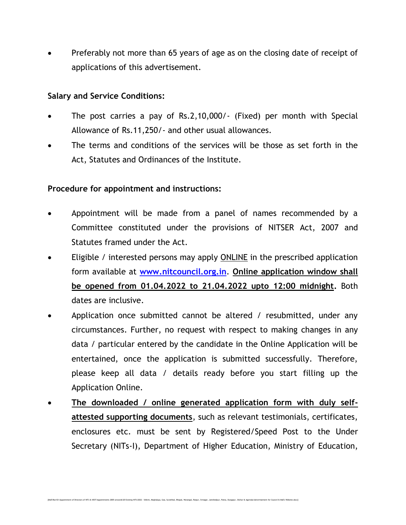Preferably not more than 65 years of age as on the closing date of receipt of applications of this advertisement.

#### **Salary and Service Conditions:**

- The post carries a pay of Rs.2,10,000/- (Fixed) per month with Special Allowance of Rs.11,250/- and other usual allowances.
- The terms and conditions of the services will be those as set forth in the Act, Statutes and Ordinances of the Institute.

#### **Procedure for appointment and instructions:**

- Appointment will be made from a panel of names recommended by a Committee constituted under the provisions of NITSER Act, 2007 and Statutes framed under the Act.
- Eligible / interested persons may apply ONLINE in the prescribed application form available at **[www.nitcouncil.org.in](http://www.nitcouncil.org.in/)**. **Online application window shall be opened from 01.04.2022 to 21.04.2022 upto 12:00 midnight.** Both dates are inclusive.
- Application once submitted cannot be altered / resubmitted, under any circumstances. Further, no request with respect to making changes in any data / particular entered by the candidate in the Online Application will be entertained, once the application is submitted successfully. Therefore, please keep all data / details ready before you start filling up the Application Online.
- **The downloaded / online generated application form with duly selfattested supporting documents**, such as relevant testimonials, certificates, enclosures etc. must be sent by Registered/Speed Post to the Under Secretary (NITs-I), Department of Higher Education, Ministry of Education,